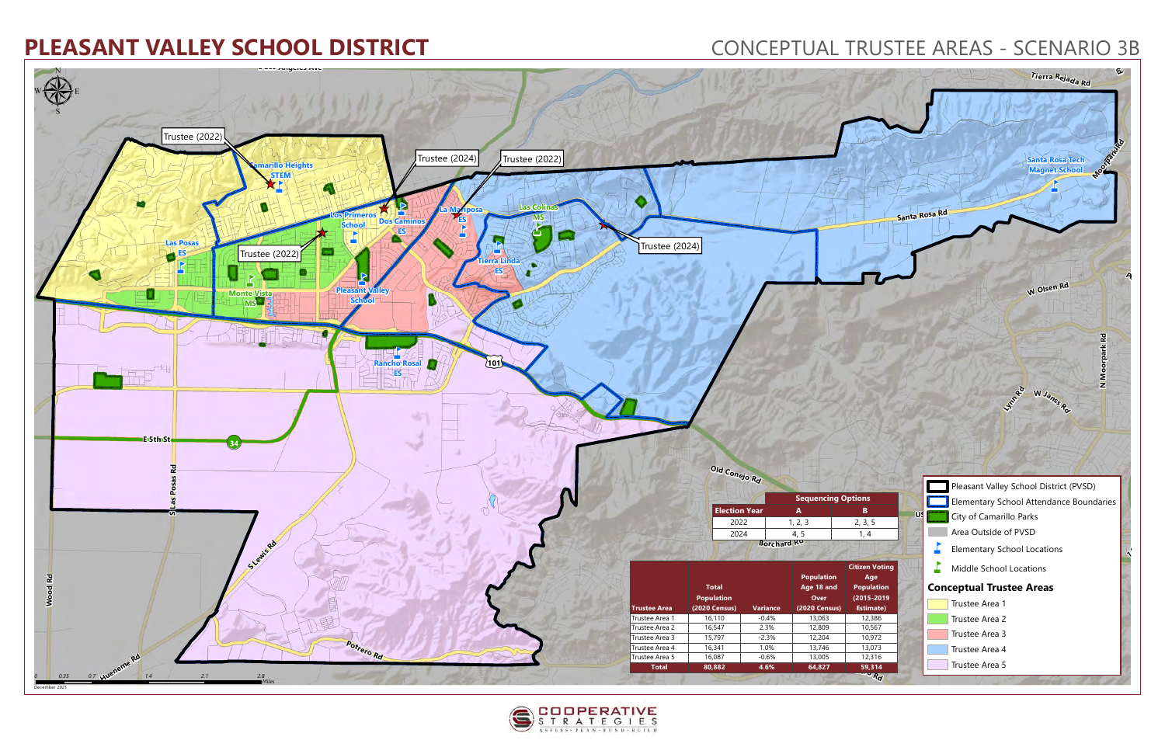



- 
- 
-